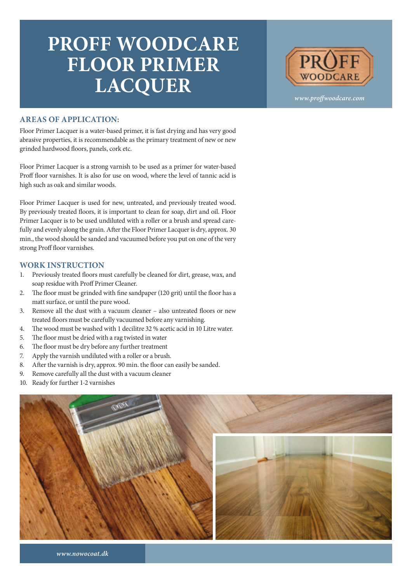## **PROFF WOODCARE FLOOR PRIMER LACQUER**



*www.proffwoodcare.com*

## **AREAS OF APPLICATION:**

Floor Primer Lacquer is a water-based primer, it is fast drying and has very good abrasive properties, it is recommendable as the primary treatment of new or new grinded hardwood floors, panels, cork etc.

Floor Primer Lacquer is a strong varnish to be used as a primer for water-based Proff floor varnishes. It is also for use on wood, where the level of tannic acid is high such as oak and similar woods.

Floor Primer Lacquer is used for new, untreated, and previously treated wood. By previously treated floors, it is important to clean for soap, dirt and oil. Floor Primer Lacquer is to be used undiluted with a roller or a brush and spread carefully and evenly along the grain. After the Floor Primer Lacquer is dry, approx. 30 min., the wood should be sanded and vacuumed before you put on one of the very strong Proff floor varnishes.

## **WORK INSTRUCTION**

- 1. Previously treated floors must carefully be cleaned for dirt, grease, wax, and soap residue with Proff Primer Cleaner.
- 2. The floor must be grinded with fine sandpaper (120 grit) until the floor has a matt surface, or until the pure wood.
- 3. Remove all the dust with a vacuum cleaner also untreated floors or new treated floors must be carefully vacuumed before any varnishing.
- 4. The wood must be washed with 1 decilitre 32 % acetic acid in 10 Litre water.
- 5. The floor must be dried with a rag twisted in water
- 6. The floor must be dry before any further treatment
- 7. Apply the varnish undiluted with a roller or a brush.
- 8. After the varnish is dry, approx. 90 min. the floor can easily be sanded.
- 9. Remove carefully all the dust with a vacuum cleaner
- 10. Ready for further 1-2 varnishes